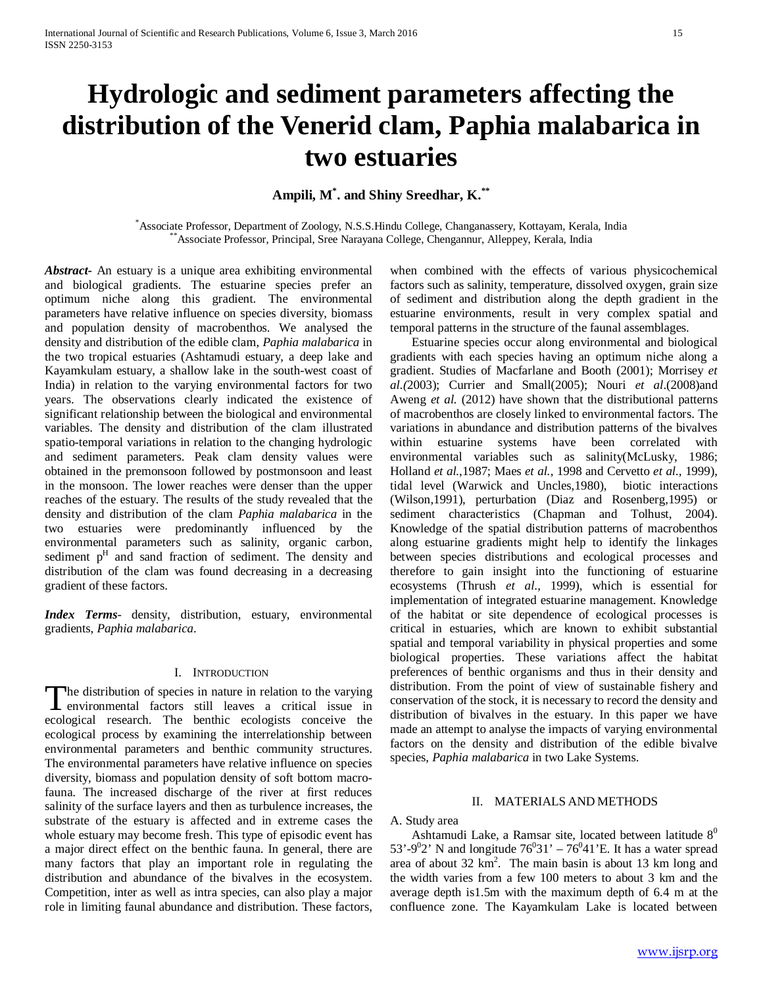# **Hydrologic and sediment parameters affecting the distribution of the Venerid clam, Paphia malabarica in two estuaries**

# **Ampili, M\* . and Shiny Sreedhar, K.\*\***

\* Associate Professor, Department of Zoology, N.S.S.Hindu College, Changanassery, Kottayam, Kerala, India \*\*Associate Professor, Principal, Sree Narayana College, Chengannur, Alleppey, Kerala, India

*Abstract***-** An estuary is a unique area exhibiting environmental and biological gradients. The estuarine species prefer an optimum niche along this gradient. The environmental parameters have relative influence on species diversity, biomass and population density of macrobenthos. We analysed the density and distribution of the edible clam, *Paphia malabarica* in the two tropical estuaries (Ashtamudi estuary, a deep lake and Kayamkulam estuary, a shallow lake in the south-west coast of India) in relation to the varying environmental factors for two years. The observations clearly indicated the existence of significant relationship between the biological and environmental variables. The density and distribution of the clam illustrated spatio-temporal variations in relation to the changing hydrologic and sediment parameters. Peak clam density values were obtained in the premonsoon followed by postmonsoon and least in the monsoon. The lower reaches were denser than the upper reaches of the estuary. The results of the study revealed that the density and distribution of the clam *Paphia malabarica* in the two estuaries were predominantly influenced by the environmental parameters such as salinity, organic carbon, sediment  $p<sup>H</sup>$  and sand fraction of sediment. The density and distribution of the clam was found decreasing in a decreasing gradient of these factors.

*Index Terms*- density, distribution, estuary, environmental gradients, *Paphia malabarica*.

## I. INTRODUCTION

The distribution of species in nature in relation to the varying The distribution of species in nature in relation to the varying<br>
environmental factors still leaves a critical issue in<br>
the baselia conduction of the state in the state of the state of the state of the state of the state ecological research. The benthic ecologists conceive the ecological process by examining the interrelationship between environmental parameters and benthic community structures. The environmental parameters have relative influence on species diversity, biomass and population density of soft bottom macrofauna. The increased discharge of the river at first reduces salinity of the surface layers and then as turbulence increases, the substrate of the estuary is affected and in extreme cases the whole estuary may become fresh. This type of episodic event has a major direct effect on the benthic fauna. In general, there are many factors that play an important role in regulating the distribution and abundance of the bivalves in the ecosystem. Competition, inter as well as intra species, can also play a major role in limiting faunal abundance and distribution. These factors,

when combined with the effects of various physicochemical factors such as salinity, temperature, dissolved oxygen, grain size of sediment and distribution along the depth gradient in the estuarine environments, result in very complex spatial and temporal patterns in the structure of the faunal assemblages.

 Estuarine species occur along environmental and biological gradients with each species having an optimum niche along a gradient. Studies of Macfarlane and Booth (2001); Morrisey *et al.(*2003); Currier and Small(2005); Nouri *et al*.(2008)and Aweng *et al.* (2012) have shown that the distributional patterns of macrobenthos are closely linked to environmental factors. The variations in abundance and distribution patterns of the bivalves within estuarine systems have been correlated with environmental variables such as salinity(McLusky, 1986; Holland *et al.*,1987; Maes *et al.,* 1998 and Cervetto *et al.,* 1999), tidal level (Warwick and Uncles,1980), biotic interactions (Wilson,1991), perturbation (Diaz and Rosenberg,1995) or sediment characteristics (Chapman and Tolhust, 2004). Knowledge of the spatial distribution patterns of macrobenthos along estuarine gradients might help to identify the linkages between species distributions and ecological processes and therefore to gain insight into the functioning of estuarine ecosystems (Thrush *et al*., 1999), which is essential for implementation of integrated estuarine management. Knowledge of the habitat or site dependence of ecological processes is critical in estuaries, which are known to exhibit substantial spatial and temporal variability in physical properties and some biological properties. These variations affect the habitat preferences of benthic organisms and thus in their density and distribution. From the point of view of sustainable fishery and conservation of the stock, it is necessary to record the density and distribution of bivalves in the estuary. In this paper we have made an attempt to analyse the impacts of varying environmental factors on the density and distribution of the edible bivalve species, *Paphia malabarica* in two Lake Systems.

## II. MATERIALS AND METHODS

A. Study area

Ashtamudi Lake, a Ramsar site, located between latitude  $8<sup>0</sup>$ 53'-9<sup>0</sup>2' N and longitude  $76^031' - 76^041'$ E. It has a water spread area of about  $32 \text{ km}^2$ . The main basin is about 13 km long and the width varies from a few 100 meters to about 3 km and the average depth is1.5m with the maximum depth of 6.4 m at the confluence zone. The Kayamkulam Lake is located between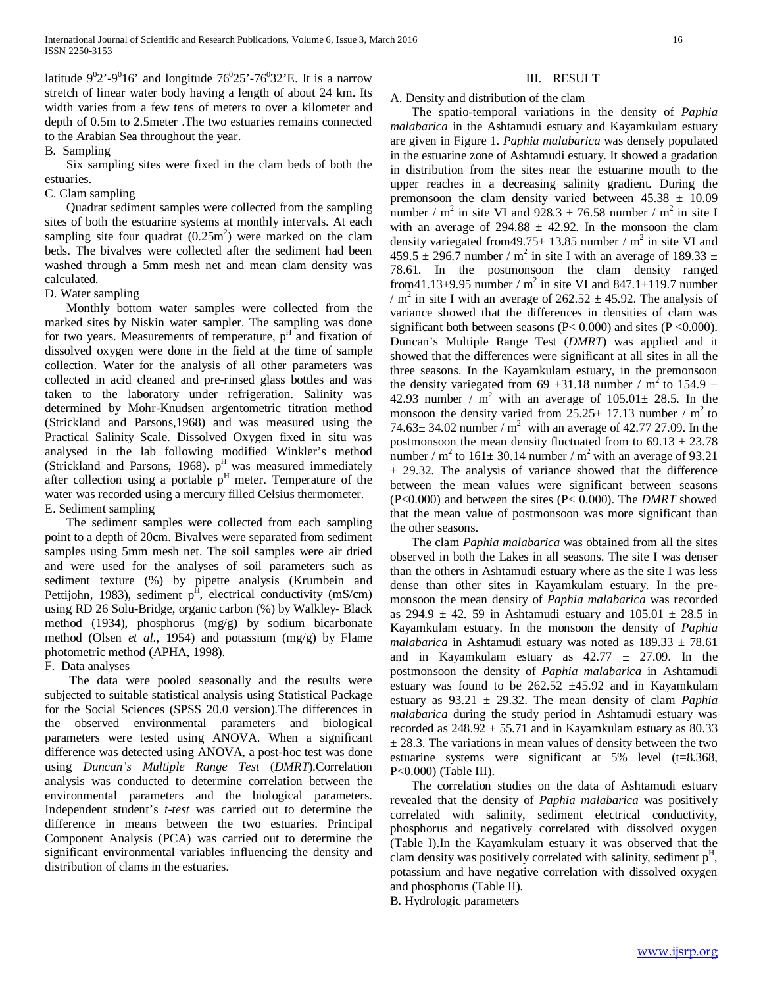latitude  $9^02'$ - $9^016'$  and longitude  $76^025'$ -76<sup>0</sup>32'E. It is a narrow stretch of linear water body having a length of about 24 km. Its width varies from a few tens of meters to over a kilometer and depth of 0.5m to 2.5meter .The two estuaries remains connected to the Arabian Sea throughout the year.

B. Sampling

 Six sampling sites were fixed in the clam beds of both the estuaries.

#### C. Clam sampling

 Quadrat sediment samples were collected from the sampling sites of both the estuarine systems at monthly intervals. At each sampling site four quadrat  $(0.25m^2)$  were marked on the clam beds. The bivalves were collected after the sediment had been washed through a 5mm mesh net and mean clam density was calculated.

## D. Water sampling

 Monthly bottom water samples were collected from the marked sites by Niskin water sampler. The sampling was done for two years. Measurements of temperature,  $p<sup>H</sup>$  and fixation of dissolved oxygen were done in the field at the time of sample collection. Water for the analysis of all other parameters was collected in acid cleaned and pre-rinsed glass bottles and was taken to the laboratory under refrigeration. Salinity was determined by Mohr-Knudsen argentometric titration method (Strickland and Parsons,1968) and was measured using the Practical Salinity Scale. Dissolved Oxygen fixed in situ was analysed in the lab following modified Winkler's method (Strickland and Parsons, 1968).  $p^H$  was measured immediately after collection using a portable  $p<sup>H</sup>$  meter. Temperature of the water was recorded using a mercury filled Celsius thermometer. E. Sediment sampling

 The sediment samples were collected from each sampling point to a depth of 20cm. Bivalves were separated from sediment samples using 5mm mesh net. The soil samples were air dried and were used for the analyses of soil parameters such as sediment texture (%) by pipette analysis (Krumbein and Pettijohn, 1983), sediment  $p<sup>H</sup>$ , electrical conductivity (mS/cm) using RD 26 Solu-Bridge, organic carbon (%) by Walkley- Black method (1934), phosphorus (mg/g) by sodium bicarbonate method (Olsen *et al*., 1954) and potassium (mg/g) by Flame photometric method (APHA, 1998).

F. Data analyses

 The data were pooled seasonally and the results were subjected to suitable statistical analysis using Statistical Package for the Social Sciences (SPSS 20.0 version).The differences in the observed environmental parameters and biological parameters were tested using ANOVA. When a significant difference was detected using ANOVA, a post-hoc test was done using *Duncan's Multiple Range Test* (*DMRT*).Correlation analysis was conducted to determine correlation between the environmental parameters and the biological parameters. Independent student's *t-test* was carried out to determine the difference in means between the two estuaries. Principal Component Analysis (PCA) was carried out to determine the significant environmental variables influencing the density and distribution of clams in the estuaries.

## III. RESULT

#### A. Density and distribution of the clam

 The spatio-temporal variations in the density of *Paphia malabarica* in the Ashtamudi estuary and Kayamkulam estuary are given in Figure 1. *Paphia malabarica* was densely populated in the estuarine zone of Ashtamudi estuary. It showed a gradation in distribution from the sites near the estuarine mouth to the upper reaches in a decreasing salinity gradient. During the premonsoon the clam density varied between  $45.38 \pm 10.09$ number /  $m^2$  in site VI and 928.3  $\pm$  76.58 number /  $m^2$  in site I with an average of  $294.88 \pm 42.92$ . In the monsoon the clam density variegated from 49.75 $\pm$  13.85 number / m<sup>2</sup> in site VI and  $459.5 \pm 296.7$  number / m<sup>2</sup> in site I with an average of 189.33  $\pm$ 78.61. In the postmonsoon the clam density ranged from41.13 $\pm$ 9.95 number / m<sup>2</sup> in site VI and 847.1 $\pm$ 119.7 number /  $m^2$  in site I with an average of 262.52  $\pm$  45.92. The analysis of variance showed that the differences in densities of clam was significant both between seasons ( $P < 0.000$ ) and sites ( $P < 0.000$ ). Duncan's Multiple Range Test (*DMRT*) was applied and it showed that the differences were significant at all sites in all the three seasons. In the Kayamkulam estuary, in the premonsoon the density variegated from 69  $\pm$ 31.18 number / m<sup>2</sup> to 154.9  $\pm$ 42.93 number /  $m^2$  with an average of  $105.01 \pm 28.5$ . In the monsoon the density varied from  $25.25 \pm 17.13$  number / m<sup>2</sup> to 74.63 $\pm$  34.02 number / m<sup>2</sup> with an average of 42.77 27.09. In the postmonsoon the mean density fluctuated from to  $69.13 \pm 23.78$ number / m<sup>2</sup> to 161 $\pm$  30.14 number / m<sup>2</sup> with an average of 93.21  $\pm$  29.32. The analysis of variance showed that the difference between the mean values were significant between seasons (P<0.000) and between the sites (P< 0.000). The *DMRT* showed that the mean value of postmonsoon was more significant than the other seasons.

 The clam *Paphia malabarica* was obtained from all the sites observed in both the Lakes in all seasons. The site I was denser than the others in Ashtamudi estuary where as the site I was less dense than other sites in Kayamkulam estuary. In the premonsoon the mean density of *Paphia malabarica* was recorded as  $294.9 \pm 42$ . 59 in Ashtamudi estuary and  $105.01 \pm 28.5$  in Kayamkulam estuary. In the monsoon the density of *Paphia malabarica* in Ashtamudi estuary was noted as  $189.33 \pm 78.61$ and in Kayamkulam estuary as  $42.77 \pm 27.09$ . In the postmonsoon the density of *Paphia malabarica* in Ashtamudi estuary was found to be  $262.52 \pm 45.92$  and in Kayamkulam estuary as 93.21 ± 29.32. The mean density of clam *Paphia malabarica* during the study period in Ashtamudi estuary was recorded as  $248.92 \pm 55.71$  and in Kayamkulam estuary as 80.33  $\pm$  28.3. The variations in mean values of density between the two estuarine systems were significant at 5% level (t=8.368, P<0.000) (Table III).

 The correlation studies on the data of Ashtamudi estuary revealed that the density of *Paphia malabarica* was positively correlated with salinity, sediment electrical conductivity, phosphorus and negatively correlated with dissolved oxygen (Table I).In the Kayamkulam estuary it was observed that the clam density was positively correlated with salinity, sediment  $p<sup>H</sup>$ , potassium and have negative correlation with dissolved oxygen and phosphorus (Table II). B. Hydrologic parameters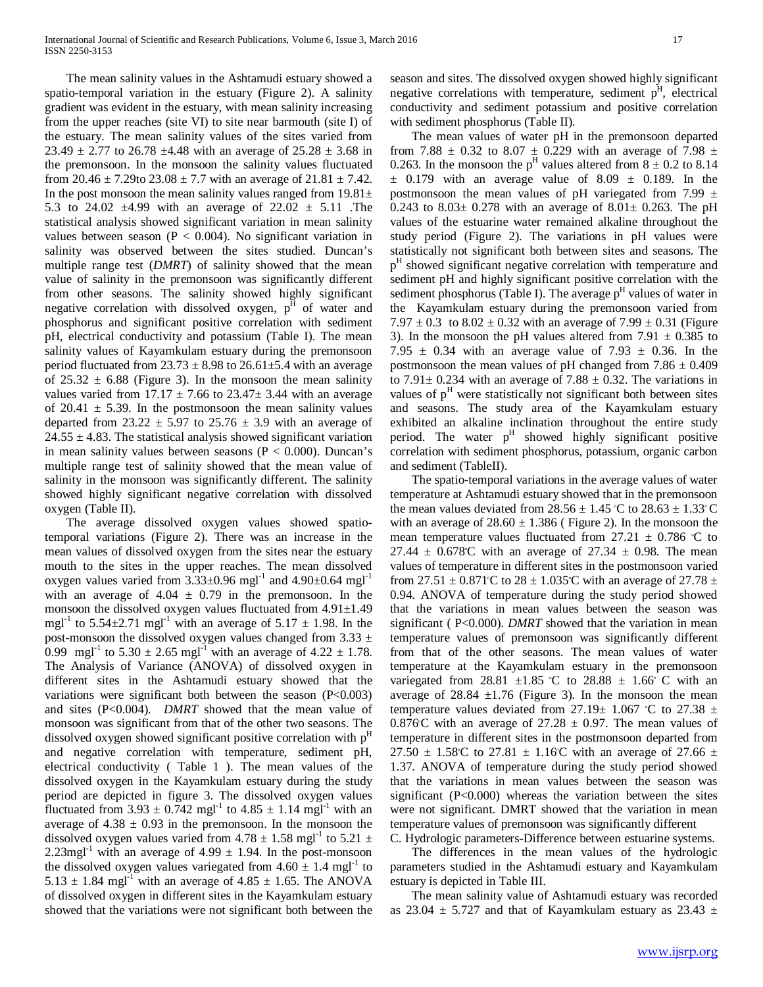The mean salinity values in the Ashtamudi estuary showed a spatio-temporal variation in the estuary (Figure 2). A salinity gradient was evident in the estuary, with mean salinity increasing from the upper reaches (site VI) to site near barmouth (site I) of the estuary. The mean salinity values of the sites varied from 23.49  $\pm$  2.77 to 26.78  $\pm$ 4.48 with an average of 25.28  $\pm$  3.68 in the premonsoon. In the monsoon the salinity values fluctuated from 20.46  $\pm$  7.29to 23.08  $\pm$  7.7 with an average of 21.81  $\pm$  7.42. In the post monsoon the mean salinity values ranged from  $19.81\pm$ 5.3 to 24.02  $\pm$ 4.99 with an average of 22.02  $\pm$  5.11 . The statistical analysis showed significant variation in mean salinity values between season ( $P < 0.004$ ). No significant variation in salinity was observed between the sites studied. Duncan's multiple range test (*DMRT*) of salinity showed that the mean value of salinity in the premonsoon was significantly different from other seasons. The salinity showed highly significant negative correlation with dissolved oxygen,  $p<sup>H</sup>$  of water and phosphorus and significant positive correlation with sediment pH, electrical conductivity and potassium (Table I). The mean salinity values of Kayamkulam estuary during the premonsoon period fluctuated from  $23.73 \pm 8.98$  to  $26.61 \pm 5.4$  with an average of  $25.32 \pm 6.88$  (Figure 3). In the monsoon the mean salinity values varied from  $17.17 \pm 7.66$  to  $23.47 \pm 3.44$  with an average of 20.41  $\pm$  5.39. In the postmonsoon the mean salinity values departed from  $23.22 \pm 5.97$  to  $25.76 \pm 3.9$  with an average of  $24.55 \pm 4.83$ . The statistical analysis showed significant variation in mean salinity values between seasons ( $P < 0.000$ ). Duncan's multiple range test of salinity showed that the mean value of salinity in the monsoon was significantly different. The salinity showed highly significant negative correlation with dissolved oxygen (Table II).

 The average dissolved oxygen values showed spatiotemporal variations (Figure 2). There was an increase in the mean values of dissolved oxygen from the sites near the estuary mouth to the sites in the upper reaches. The mean dissolved oxygen values varied from  $3.33\pm0.96$  mgl<sup>-1</sup> and  $4.90\pm0.64$  mgl<sup>-1</sup> with an average of  $4.04 \pm 0.79$  in the premonsoon. In the monsoon the dissolved oxygen values fluctuated from 4.91±1.49 mgl<sup>-1</sup> to 5.54 $\pm$ 2.71 mgl<sup>-1</sup> with an average of 5.17  $\pm$  1.98. In the post-monsoon the dissolved oxygen values changed from  $3.33 \pm$ 0.99 mgl<sup>-1</sup> to 5.30  $\pm$  2.65 mgl<sup>-1</sup> with an average of 4.22  $\pm$  1.78. The Analysis of Variance (ANOVA) of dissolved oxygen in different sites in the Ashtamudi estuary showed that the variations were significant both between the season (P<0.003) and sites (P<0.004). *DMRT* showed that the mean value of monsoon was significant from that of the other two seasons. The dissolved oxygen showed significant positive correlation with  $p<sup>H</sup>$ and negative correlation with temperature, sediment pH, electrical conductivity ( Table 1 ). The mean values of the dissolved oxygen in the Kayamkulam estuary during the study period are depicted in figure 3. The dissolved oxygen values fluctuated from  $3.93 \pm 0.742$  mgl<sup>-1</sup> to  $4.85 \pm 1.14$  mgl<sup>-1</sup> with an average of  $4.38 \pm 0.93$  in the premonsoon. In the monsoon the dissolved oxygen values varied from  $4.78 \pm 1.58$  mgl<sup>-1</sup> to  $5.21 \pm$ 2.23mgl<sup>-1</sup> with an average of 4.99  $\pm$  1.94. In the post-monsoon the dissolved oxygen values variegated from  $4.60 \pm 1.4$  mgl<sup>-1</sup> to 5.13  $\pm$  1.84 mgl<sup>-1</sup> with an average of 4.85  $\pm$  1.65. The ANOVA of dissolved oxygen in different sites in the Kayamkulam estuary showed that the variations were not significant both between the season and sites. The dissolved oxygen showed highly significant negative correlations with temperature, sediment  $p<sup>H</sup>$ , electrical conductivity and sediment potassium and positive correlation with sediment phosphorus (Table II).

 The mean values of water pH in the premonsoon departed from 7.88  $\pm$  0.32 to 8.07  $\pm$  0.229 with an average of 7.98  $\pm$ 0.263. In the monsoon the  $p<sup>H</sup>$  values altered from  $8 \pm 0.2$  to 8.14  $\pm$  0.179 with an average value of 8.09  $\pm$  0.189. In the postmonsoon the mean values of pH variegated from 7.99  $\pm$ 0.243 to  $8.03 \pm 0.278$  with an average of  $8.01 \pm 0.263$ . The pH values of the estuarine water remained alkaline throughout the study period (Figure 2). The variations in pH values were statistically not significant both between sites and seasons. The p<sup>H</sup> showed significant negative correlation with temperature and sediment pH and highly significant positive correlation with the sediment phosphorus (Table I). The average  $p<sup>H</sup>$  values of water in the Kayamkulam estuary during the premonsoon varied from 7.97  $\pm$  0.3 to 8.02  $\pm$  0.32 with an average of 7.99  $\pm$  0.31 (Figure 3). In the monsoon the pH values altered from  $7.91 \pm 0.385$  to 7.95  $\pm$  0.34 with an average value of 7.93  $\pm$  0.36. In the postmonsoon the mean values of pH changed from  $7.86 \pm 0.409$ to 7.91 $\pm$  0.234 with an average of 7.88  $\pm$  0.32. The variations in values of  $p<sup>H</sup>$  were statistically not significant both between sites and seasons. The study area of the Kayamkulam estuary exhibited an alkaline inclination throughout the entire study period. The water  $p<sup>H</sup>$  showed highly significant positive correlation with sediment phosphorus, potassium, organic carbon and sediment (TableII).

 The spatio-temporal variations in the average values of water temperature at Ashtamudi estuary showed that in the premonsoon the mean values deviated from  $28.56 \pm 1.45$  °C to  $28.63 \pm 1.33$ °C with an average of  $28.60 \pm 1.386$  (Figure 2). In the monsoon the mean temperature values fluctuated from  $27.21 \pm 0.786$  °C to 27.44  $\pm$  0.678°C with an average of 27.34  $\pm$  0.98. The mean values of temperature in different sites in the postmonsoon varied from 27.51  $\pm$  0.871°C to 28  $\pm$  1.035°C with an average of 27.78  $\pm$ 0.94. ANOVA of temperature during the study period showed that the variations in mean values between the season was significant ( P<0.000). *DMRT* showed that the variation in mean temperature values of premonsoon was significantly different from that of the other seasons. The mean values of water temperature at the Kayamkulam estuary in the premonsoon variegated from 28.81  $\pm 1.85$  °C to 28.88  $\pm$  1.66° C with an average of  $28.84 \pm 1.76$  (Figure 3). In the monsoon the mean temperature values deviated from  $27.19 \pm 1.067$  °C to  $27.38 \pm 1.067$ 0.876°C with an average of 27.28  $\pm$  0.97. The mean values of temperature in different sites in the postmonsoon departed from 27.50  $\pm$  1.58°C to 27.81  $\pm$  1.16°C with an average of 27.66  $\pm$ 1.37. ANOVA of temperature during the study period showed that the variations in mean values between the season was significant  $(P<0.000)$  whereas the variation between the sites were not significant. DMRT showed that the variation in mean temperature values of premonsoon was significantly different C. Hydrologic parameters-Difference between estuarine systems.

 The differences in the mean values of the hydrologic parameters studied in the Ashtamudi estuary and Kayamkulam estuary is depicted in Table III.

 The mean salinity value of Ashtamudi estuary was recorded as 23.04  $\pm$  5.727 and that of Kayamkulam estuary as 23.43  $\pm$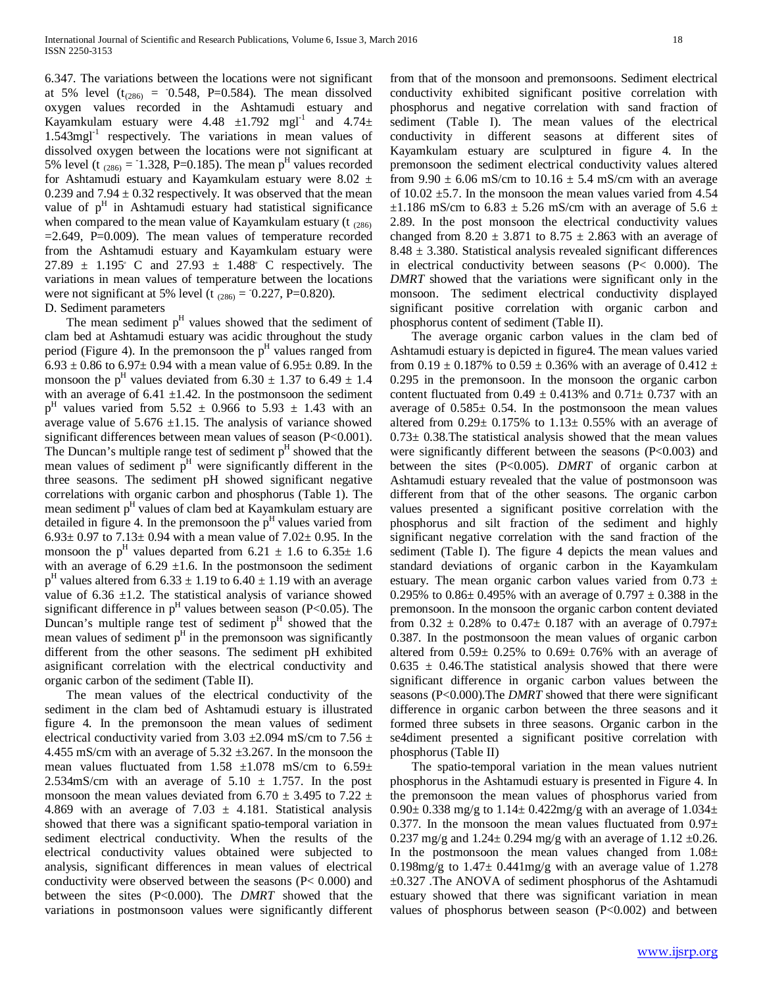6.347. The variations between the locations were not significant at 5% level  $(t_{(286)} = 0.548, P=0.584)$ . The mean dissolved oxygen values recorded in the Ashtamudi estuary and Kayamkulam estuary were  $4.48 \pm 1.792$  mgl<sup>-1</sup> and  $4.74\pm$  $1.543$ mgl<sup>-1</sup> respectively. The variations in mean values of dissolved oxygen between the locations were not significant at 5% level (t  $(286) = 1.328$ , P=0.185). The mean p<sup>H</sup> values recorded for Ashtamudi estuary and Kayamkulam estuary were 8.02  $\pm$ 0.239 and  $7.94 \pm 0.32$  respectively. It was observed that the mean value of  $p<sup>H</sup>$  in Ashtamudi estuary had statistical significance when compared to the mean value of Kayamkulam estuary (t  $_{(286)}$ )  $=2.649$ , P $=0.009$ ). The mean values of temperature recorded from the Ashtamudi estuary and Kayamkulam estuary were 27.89  $\pm$  1.195 $\degree$  C and 27.93  $\pm$  1.488 $\degree$  C respectively. The variations in mean values of temperature between the locations were not significant at 5% level (t  $_{(286)} = 0.227$ , P=0.820). D. Sediment parameters

The mean sediment  $p<sup>H</sup>$  values showed that the sediment of clam bed at Ashtamudi estuary was acidic throughout the study period (Figure 4). In the premonsoon the  $p<sup>H</sup>$  values ranged from  $6.93 \pm 0.86$  to  $6.97 \pm 0.94$  with a mean value of  $6.95 \pm 0.89$ . In the monsoon the p<sup>H</sup> values deviated from 6.30  $\pm$  1.37 to 6.49  $\pm$  1.4 with an average of  $6.41 \pm 1.42$ . In the postmonsoon the sediment  $p<sup>H</sup>$  values varied from 5.52  $\pm$  0.966 to 5.93  $\pm$  1.43 with an average value of  $5.676 \pm 1.15$ . The analysis of variance showed significant differences between mean values of season (P<0.001). The Duncan's multiple range test of sediment  $p<sup>H</sup>$  showed that the mean values of sediment  $p<sup>H</sup>$  were significantly different in the three seasons. The sediment pH showed significant negative correlations with organic carbon and phosphorus (Table 1). The mean sediment  $p<sup>H</sup>$  values of clam bed at Kayamkulam estuary are detailed in figure 4. In the premonsoon the  $p<sup>H</sup>$  values varied from 6.93 $\pm$  0.97 to 7.13 $\pm$  0.94 with a mean value of 7.02 $\pm$  0.95. In the monsoon the  $p^H$  values departed from 6.21  $\pm$  1.6 to 6.35 $\pm$  1.6 with an average of 6.29  $\pm$ 1.6. In the postmonsoon the sediment  $p<sup>H</sup>$  values altered from 6.33  $\pm$  1.19 to 6.40  $\pm$  1.19 with an average value of  $6.36 \pm 1.2$ . The statistical analysis of variance showed significant difference in  $p<sup>H</sup>$  values between season (P<0.05). The Duncan's multiple range test of sediment  $p<sup>H</sup>$  showed that the mean values of sediment  $p<sup>H</sup>$  in the premonsoon was significantly different from the other seasons. The sediment pH exhibited asignificant correlation with the electrical conductivity and organic carbon of the sediment (Table II).

 The mean values of the electrical conductivity of the sediment in the clam bed of Ashtamudi estuary is illustrated figure 4. In the premonsoon the mean values of sediment electrical conductivity varied from 3.03  $\pm$ 2.094 mS/cm to 7.56  $\pm$ 4.455 mS/cm with an average of  $5.32 \pm 3.267$ . In the monsoon the mean values fluctuated from  $1.58 \pm 1.078$  mS/cm to  $6.59\pm$ 2.534mS/cm with an average of  $5.10 \pm 1.757$ . In the post monsoon the mean values deviated from 6.70  $\pm$  3.495 to 7.22  $\pm$ 4.869 with an average of 7.03  $\pm$  4.181. Statistical analysis showed that there was a significant spatio-temporal variation in sediment electrical conductivity. When the results of the electrical conductivity values obtained were subjected to analysis, significant differences in mean values of electrical conductivity were observed between the seasons (P< 0.000) and between the sites (P<0.000). The *DMRT* showed that the variations in postmonsoon values were significantly different from that of the monsoon and premonsoons. Sediment electrical conductivity exhibited significant positive correlation with phosphorus and negative correlation with sand fraction of sediment (Table I). The mean values of the electrical conductivity in different seasons at different sites of Kayamkulam estuary are sculptured in figure 4. In the premonsoon the sediment electrical conductivity values altered from  $9.90 \pm 6.06$  mS/cm to  $10.16 \pm 5.4$  mS/cm with an average of  $10.02 \pm 5.7$ . In the monsoon the mean values varied from 4.54  $\pm 1.186$  mS/cm to 6.83  $\pm$  5.26 mS/cm with an average of 5.6  $\pm$ 2.89. In the post monsoon the electrical conductivity values changed from  $8.20 \pm 3.871$  to  $8.75 \pm 2.863$  with an average of  $8.48 \pm 3.380$ . Statistical analysis revealed significant differences in electrical conductivity between seasons (P< 0.000). The *DMRT* showed that the variations were significant only in the monsoon. The sediment electrical conductivity displayed significant positive correlation with organic carbon and phosphorus content of sediment (Table II).

 The average organic carbon values in the clam bed of Ashtamudi estuary is depicted in figure4. The mean values varied from 0.19  $\pm$  0.187% to 0.59  $\pm$  0.36% with an average of 0.412  $\pm$ 0.295 in the premonsoon. In the monsoon the organic carbon content fluctuated from  $0.49 \pm 0.413\%$  and  $0.71 \pm 0.737$  with an average of  $0.585 \pm 0.54$ . In the postmonsoon the mean values altered from  $0.29 \pm 0.175\%$  to  $1.13 \pm 0.55\%$  with an average of  $0.73\pm 0.38$ . The statistical analysis showed that the mean values were significantly different between the seasons (P<0.003) and between the sites (P<0.005). *DMRT* of organic carbon at Ashtamudi estuary revealed that the value of postmonsoon was different from that of the other seasons. The organic carbon values presented a significant positive correlation with the phosphorus and silt fraction of the sediment and highly significant negative correlation with the sand fraction of the sediment (Table I). The figure 4 depicts the mean values and standard deviations of organic carbon in the Kayamkulam estuary. The mean organic carbon values varied from  $0.73 \pm$ 0.295% to  $0.86 \pm 0.495$ % with an average of  $0.797 \pm 0.388$  in the premonsoon. In the monsoon the organic carbon content deviated from  $0.32 \pm 0.28$ % to  $0.47 \pm 0.187$  with an average of  $0.797 \pm 0.187$ 0.387. In the postmonsoon the mean values of organic carbon altered from  $0.59 \pm 0.25\%$  to  $0.69 \pm 0.76\%$  with an average of  $0.635 \pm 0.46$ . The statistical analysis showed that there were significant difference in organic carbon values between the seasons (P<0.000).The *DMRT* showed that there were significant difference in organic carbon between the three seasons and it formed three subsets in three seasons. Organic carbon in the se4diment presented a significant positive correlation with phosphorus (Table II)

 The spatio-temporal variation in the mean values nutrient phosphorus in the Ashtamudi estuary is presented in Figure 4. In the premonsoon the mean values of phosphorus varied from 0.90 $\pm$  0.338 mg/g to 1.14 $\pm$  0.422mg/g with an average of 1.034 $\pm$ 0.377. In the monsoon the mean values fluctuated from  $0.97\pm$ 0.237 mg/g and  $1.24 \pm 0.294$  mg/g with an average of  $1.12 \pm 0.26$ . In the postmonsoon the mean values changed from  $1.08\pm$ 0.198mg/g to  $1.47 \pm 0.441$ mg/g with an average value of 1.278 ±0.327 .The ANOVA of sediment phosphorus of the Ashtamudi estuary showed that there was significant variation in mean values of phosphorus between season (P<0.002) and between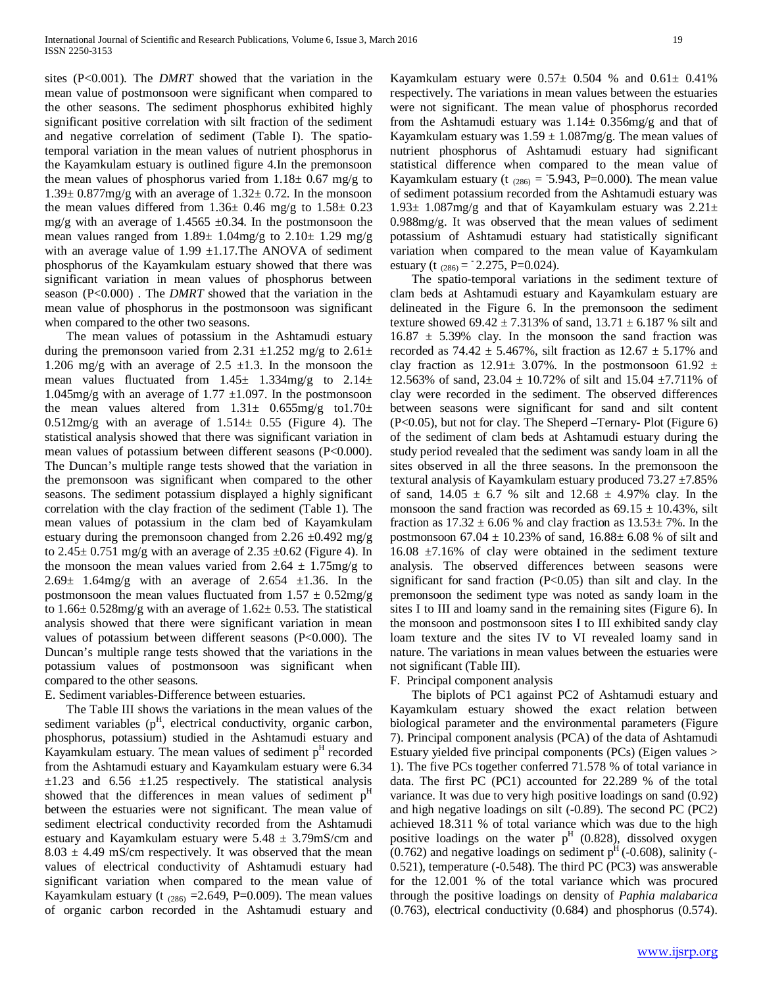sites (P<0.001). The *DMRT* showed that the variation in the mean value of postmonsoon were significant when compared to the other seasons. The sediment phosphorus exhibited highly significant positive correlation with silt fraction of the sediment and negative correlation of sediment (Table I). The spatiotemporal variation in the mean values of nutrient phosphorus in the Kayamkulam estuary is outlined figure 4.In the premonsoon the mean values of phosphorus varied from  $1.18 \pm 0.67$  mg/g to  $1.39\pm 0.877$  mg/g with an average of  $1.32\pm 0.72$ . In the monsoon the mean values differed from  $1.36 \pm 0.46$  mg/g to  $1.58 \pm 0.23$ mg/g with an average of 1.4565  $\pm$ 0.34. In the postmonsoon the mean values ranged from  $1.89 \pm 1.04$  mg/g to  $2.10 \pm 1.29$  mg/g with an average value of  $1.99 \pm 1.17$ . The ANOVA of sediment phosphorus of the Kayamkulam estuary showed that there was significant variation in mean values of phosphorus between season (P<0.000) . The *DMRT* showed that the variation in the mean value of phosphorus in the postmonsoon was significant when compared to the other two seasons.

 The mean values of potassium in the Ashtamudi estuary during the premonsoon varied from 2.31  $\pm$ 1.252 mg/g to 2.61 $\pm$ 1.206 mg/g with an average of 2.5  $\pm$ 1.3. In the monsoon the mean values fluctuated from  $1.45 \pm 1.334$  mg/g to  $2.14 \pm 1.334$ 1.045mg/g with an average of 1.77  $\pm$ 1.097. In the postmonsoon the mean values altered from  $1.31 \pm 0.655$  mg/g to  $1.70 \pm 0.75$  $0.512$ mg/g with an average of  $1.514 \pm 0.55$  (Figure 4). The statistical analysis showed that there was significant variation in mean values of potassium between different seasons (P<0.000). The Duncan's multiple range tests showed that the variation in the premonsoon was significant when compared to the other seasons. The sediment potassium displayed a highly significant correlation with the clay fraction of the sediment (Table 1). The mean values of potassium in the clam bed of Kayamkulam estuary during the premonsoon changed from 2.26  $\pm$ 0.492 mg/g to  $2.45 \pm 0.751$  mg/g with an average of  $2.35 \pm 0.62$  (Figure 4). In the monsoon the mean values varied from  $2.64 \pm 1.75$ mg/g to  $2.69 \pm 1.64$  mg/g with an average of 2.654  $\pm 1.36$ . In the postmonsoon the mean values fluctuated from  $1.57 \pm 0.52$ mg/g to  $1.66 \pm 0.528$  mg/g with an average of  $1.62 \pm 0.53$ . The statistical analysis showed that there were significant variation in mean values of potassium between different seasons (P<0.000). The Duncan's multiple range tests showed that the variations in the potassium values of postmonsoon was significant when compared to the other seasons.

E. Sediment variables-Difference between estuaries.

 The Table III shows the variations in the mean values of the sediment variables (p<sup>H</sup>, electrical conductivity, organic carbon, phosphorus, potassium) studied in the Ashtamudi estuary and Kayamkulam estuary. The mean values of sediment  $p<sup>H</sup>$  recorded from the Ashtamudi estuary and Kayamkulam estuary were 6.34  $\pm 1.23$  and 6.56  $\pm 1.25$  respectively. The statistical analysis showed that the differences in mean values of sediment  $p<sup>H</sup>$ between the estuaries were not significant. The mean value of sediment electrical conductivity recorded from the Ashtamudi estuary and Kayamkulam estuary were  $5.48 \pm 3.79$ mS/cm and  $8.03 \pm 4.49$  mS/cm respectively. It was observed that the mean values of electrical conductivity of Ashtamudi estuary had significant variation when compared to the mean value of Kayamkulam estuary (t  $_{(286)} = 2.649$ , P=0.009). The mean values of organic carbon recorded in the Ashtamudi estuary and Kayamkulam estuary were  $0.57\pm 0.504$  % and  $0.61\pm 0.41$ % respectively. The variations in mean values between the estuaries were not significant. The mean value of phosphorus recorded from the Ashtamudi estuary was 1.14± 0.356mg/g and that of Kayamkulam estuary was  $1.59 \pm 1.087$ mg/g. The mean values of nutrient phosphorus of Ashtamudi estuary had significant statistical difference when compared to the mean value of Kayamkulam estuary (t  $_{(286)} = 5.943$ , P=0.000). The mean value of sediment potassium recorded from the Ashtamudi estuary was 1.93 $\pm$  1.087mg/g and that of Kayamkulam estuary was 2.21 $\pm$ 0.988mg/g. It was observed that the mean values of sediment potassium of Ashtamudi estuary had statistically significant variation when compared to the mean value of Kayamkulam estuary (t  $_{(286)} = 2.275$ , P=0.024).

 The spatio-temporal variations in the sediment texture of clam beds at Ashtamudi estuary and Kayamkulam estuary are delineated in the Figure 6. In the premonsoon the sediment texture showed  $69.42 \pm 7.313\%$  of sand,  $13.71 \pm 6.187\%$  silt and  $16.87 \pm 5.39\%$  clay. In the monsoon the sand fraction was recorded as  $74.42 \pm 5.467\%$ , silt fraction as  $12.67 \pm 5.17\%$  and clay fraction as  $12.91 \pm 3.07\%$ . In the postmonsoon 61.92  $\pm$ 12.563% of sand,  $23.04 \pm 10.72$ % of silt and  $15.04 \pm 7.711$ % of clay were recorded in the sediment. The observed differences between seasons were significant for sand and silt content (P<0.05), but not for clay. The Sheperd –Ternary- Plot (Figure 6) of the sediment of clam beds at Ashtamudi estuary during the study period revealed that the sediment was sandy loam in all the sites observed in all the three seasons. In the premonsoon the textural analysis of Kayamkulam estuary produced 73.27 ±7.85% of sand,  $14.05 \pm 6.7$  % silt and  $12.68 \pm 4.97$ % clay. In the monsoon the sand fraction was recorded as  $69.15 \pm 10.43\%$ , silt fraction as  $17.32 \pm 6.06$  % and clay fraction as  $13.53 \pm 7$ %. In the postmonsoon  $67.04 \pm 10.23\%$  of sand,  $16.88 \pm 6.08\%$  of silt and 16.08 ±7.16% of clay were obtained in the sediment texture analysis. The observed differences between seasons were significant for sand fraction  $(P<0.05)$  than silt and clay. In the premonsoon the sediment type was noted as sandy loam in the sites I to III and loamy sand in the remaining sites (Figure 6). In the monsoon and postmonsoon sites I to III exhibited sandy clay loam texture and the sites IV to VI revealed loamy sand in nature. The variations in mean values between the estuaries were not significant (Table III).

## F. Principal component analysis

 The biplots of PC1 against PC2 of Ashtamudi estuary and Kayamkulam estuary showed the exact relation between biological parameter and the environmental parameters (Figure 7). Principal component analysis (PCA) of the data of Ashtamudi Estuary yielded five principal components (PCs) (Eigen values > 1). The five PCs together conferred 71.578 % of total variance in data. The first PC (PC1) accounted for 22.289 % of the total variance. It was due to very high positive loadings on sand (0.92) and high negative loadings on silt (-0.89). The second PC (PC2) achieved 18.311 % of total variance which was due to the high positive loadings on the water  $p<sup>H</sup>$  (0.828), dissolved oxygen  $(0.762)$  and negative loadings on sediment  $p<sup>H</sup>$  (-0.608), salinity (-0.521), temperature (-0.548). The third PC (PC3) was answerable for the 12.001 % of the total variance which was procured through the positive loadings on density of *Paphia malabarica*  (0.763), electrical conductivity (0.684) and phosphorus (0.574).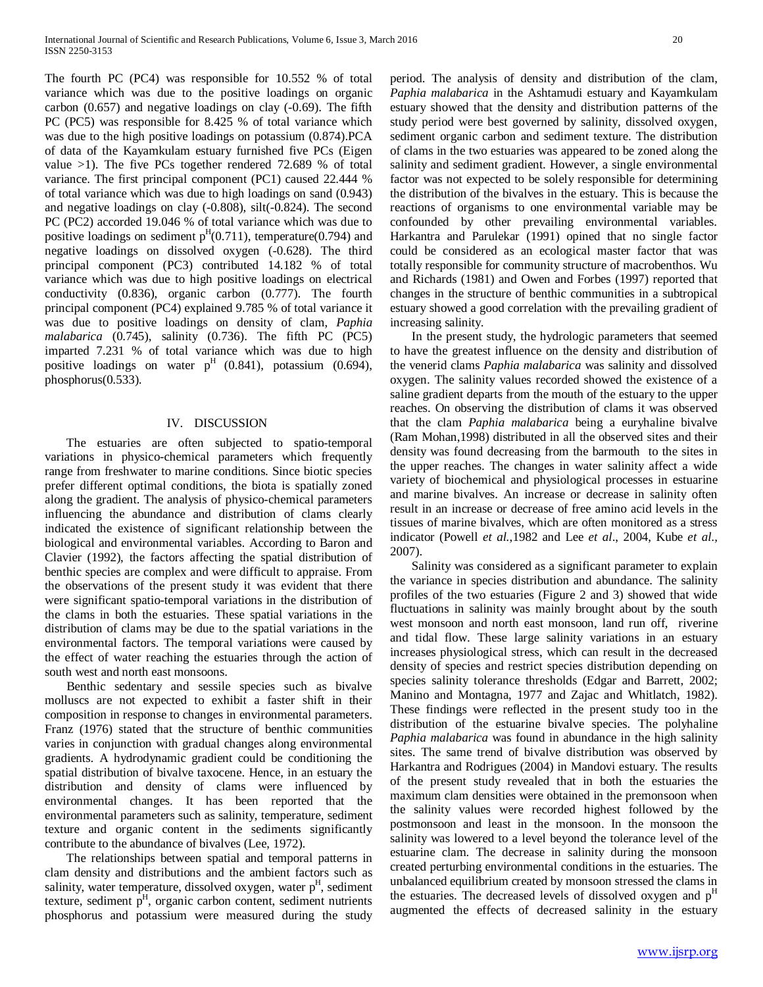The fourth PC (PC4) was responsible for 10.552 % of total variance which was due to the positive loadings on organic carbon (0.657) and negative loadings on clay (-0.69). The fifth PC (PC5) was responsible for 8.425 % of total variance which was due to the high positive loadings on potassium (0.874).PCA of data of the Kayamkulam estuary furnished five PCs (Eigen value >1). The five PCs together rendered 72.689 % of total variance. The first principal component (PC1) caused 22.444 % of total variance which was due to high loadings on sand (0.943) and negative loadings on clay (-0.808), silt(-0.824). The second PC (PC2) accorded 19.046 % of total variance which was due to positive loadings on sediment  $p^{H}(0.711)$ , temperature(0.794) and negative loadings on dissolved oxygen (-0.628). The third principal component (PC3) contributed 14.182 % of total variance which was due to high positive loadings on electrical conductivity (0.836), organic carbon (0.777). The fourth principal component (PC4) explained 9.785 % of total variance it was due to positive loadings on density of clam, *Paphia malabarica* (0.745), salinity (0.736). The fifth PC (PC5) imparted 7.231 % of total variance which was due to high positive loadings on water  $p^H$  (0.841), potassium (0.694), phosphorus(0.533).

## IV. DISCUSSION

 The estuaries are often subjected to spatio-temporal variations in physico-chemical parameters which frequently range from freshwater to marine conditions. Since biotic species prefer different optimal conditions, the biota is spatially zoned along the gradient. The analysis of physico-chemical parameters influencing the abundance and distribution of clams clearly indicated the existence of significant relationship between the biological and environmental variables. According to Baron and Clavier (1992), the factors affecting the spatial distribution of benthic species are complex and were difficult to appraise. From the observations of the present study it was evident that there were significant spatio-temporal variations in the distribution of the clams in both the estuaries. These spatial variations in the distribution of clams may be due to the spatial variations in the environmental factors. The temporal variations were caused by the effect of water reaching the estuaries through the action of south west and north east monsoons.

 Benthic sedentary and sessile species such as bivalve molluscs are not expected to exhibit a faster shift in their composition in response to changes in environmental parameters. Franz (1976) stated that the structure of benthic communities varies in conjunction with gradual changes along environmental gradients. A hydrodynamic gradient could be conditioning the spatial distribution of bivalve taxocene. Hence, in an estuary the distribution and density of clams were influenced by environmental changes. It has been reported that the environmental parameters such as salinity, temperature, sediment texture and organic content in the sediments significantly contribute to the abundance of bivalves (Lee, 1972).

 The relationships between spatial and temporal patterns in clam density and distributions and the ambient factors such as salinity, water temperature, dissolved oxygen, water  $p<sup>H</sup>$ , sediment texture, sediment  $p<sup>H</sup>$ , organic carbon content, sediment nutrients phosphorus and potassium were measured during the study

period. The analysis of density and distribution of the clam, *Paphia malabarica* in the Ashtamudi estuary and Kayamkulam estuary showed that the density and distribution patterns of the study period were best governed by salinity, dissolved oxygen, sediment organic carbon and sediment texture. The distribution of clams in the two estuaries was appeared to be zoned along the salinity and sediment gradient. However, a single environmental factor was not expected to be solely responsible for determining the distribution of the bivalves in the estuary. This is because the reactions of organisms to one environmental variable may be confounded by other prevailing environmental variables. Harkantra and Parulekar (1991) opined that no single factor could be considered as an ecological master factor that was totally responsible for community structure of macrobenthos. Wu and Richards (1981) and Owen and Forbes (1997) reported that changes in the structure of benthic communities in a subtropical estuary showed a good correlation with the prevailing gradient of increasing salinity.

 In the present study, the hydrologic parameters that seemed to have the greatest influence on the density and distribution of the venerid clams *Paphia malabarica* was salinity and dissolved oxygen. The salinity values recorded showed the existence of a saline gradient departs from the mouth of the estuary to the upper reaches. On observing the distribution of clams it was observed that the clam *Paphia malabarica* being a euryhaline bivalve (Ram Mohan,1998) distributed in all the observed sites and their density was found decreasing from the barmouth to the sites in the upper reaches. The changes in water salinity affect a wide variety of biochemical and physiological processes in estuarine and marine bivalves. An increase or decrease in salinity often result in an increase or decrease of free amino acid levels in the tissues of marine bivalves, which are often monitored as a stress indicator (Powell *et al.*,1982 and Lee *et al*., 2004, Kube *et al.,*  2007).

 Salinity was considered as a significant parameter to explain the variance in species distribution and abundance. The salinity profiles of the two estuaries (Figure 2 and 3) showed that wide fluctuations in salinity was mainly brought about by the south west monsoon and north east monsoon, land run off, riverine and tidal flow. These large salinity variations in an estuary increases physiological stress, which can result in the decreased density of species and restrict species distribution depending on species salinity tolerance thresholds (Edgar and Barrett, 2002; Manino and Montagna, 1977 and Zajac and Whitlatch, 1982). These findings were reflected in the present study too in the distribution of the estuarine bivalve species. The polyhaline *Paphia malabarica* was found in abundance in the high salinity sites. The same trend of bivalve distribution was observed by Harkantra and Rodrigues (2004) in Mandovi estuary. The results of the present study revealed that in both the estuaries the maximum clam densities were obtained in the premonsoon when the salinity values were recorded highest followed by the postmonsoon and least in the monsoon. In the monsoon the salinity was lowered to a level beyond the tolerance level of the estuarine clam. The decrease in salinity during the monsoon created perturbing environmental conditions in the estuaries. The unbalanced equilibrium created by monsoon stressed the clams in the estuaries. The decreased levels of dissolved oxygen and  $p<sup>H</sup>$ augmented the effects of decreased salinity in the estuary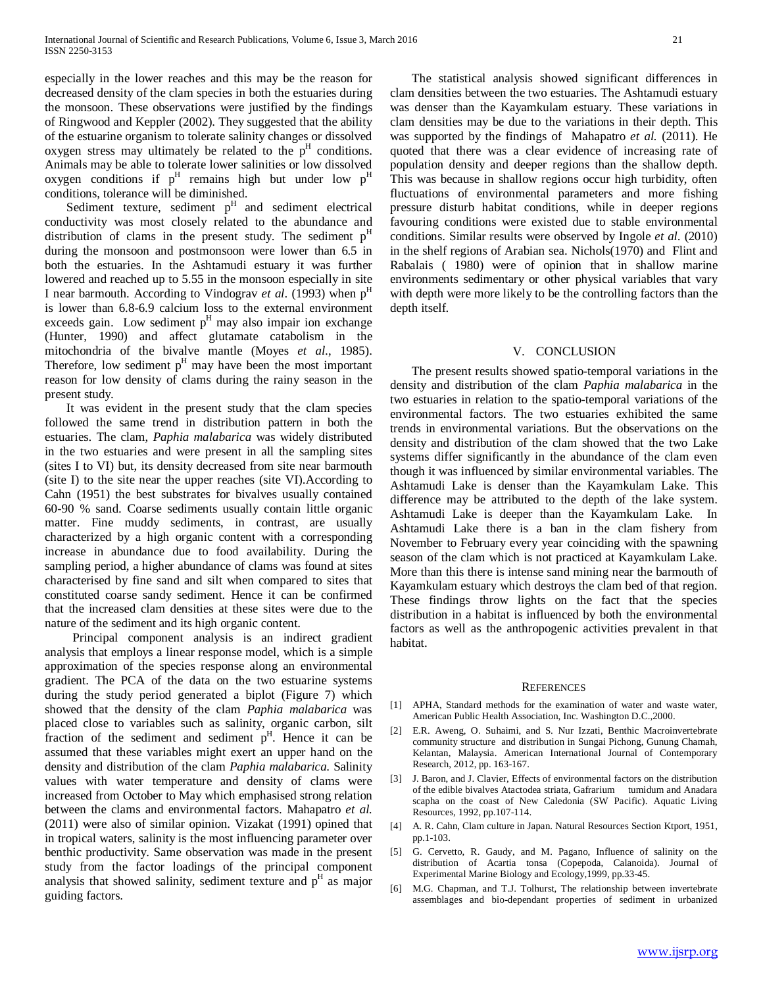especially in the lower reaches and this may be the reason for decreased density of the clam species in both the estuaries during the monsoon. These observations were justified by the findings of Ringwood and Keppler (2002). They suggested that the ability of the estuarine organism to tolerate salinity changes or dissolved oxygen stress may ultimately be related to the  $p<sup>H</sup>$  conditions. Animals may be able to tolerate lower salinities or low dissolved oxygen conditions if  $p<sup>H</sup>$  remains high but under low  $p<sup>H</sup>$ conditions, tolerance will be diminished.

Sediment texture, sediment  $p<sup>H</sup>$  and sediment electrical conductivity was most closely related to the abundance and distribution of clams in the present study. The sediment  $p<sup>H</sup>$ during the monsoon and postmonsoon were lower than 6.5 in both the estuaries. In the Ashtamudi estuary it was further lowered and reached up to 5.55 in the monsoon especially in site I near barmouth. According to Vindograv *et al.* (1993) when  $p<sup>H</sup>$ is lower than 6.8-6.9 calcium loss to the external environment exceeds gain. Low sediment  $p<sup>H</sup>$  may also impair ion exchange (Hunter, 1990) and affect glutamate catabolism in the mitochondria of the bivalve mantle (Moyes *et al.*, 1985). Therefore, low sediment  $p<sup>H</sup>$  may have been the most important reason for low density of clams during the rainy season in the present study.

 It was evident in the present study that the clam species followed the same trend in distribution pattern in both the estuaries. The clam, *Paphia malabarica* was widely distributed in the two estuaries and were present in all the sampling sites (sites I to VI) but, its density decreased from site near barmouth (site I) to the site near the upper reaches (site VI).According to Cahn (1951) the best substrates for bivalves usually contained 60-90 % sand. Coarse sediments usually contain little organic matter. Fine muddy sediments, in contrast, are usually characterized by a high organic content with a corresponding increase in abundance due to food availability. During the sampling period, a higher abundance of clams was found at sites characterised by fine sand and silt when compared to sites that constituted coarse sandy sediment. Hence it can be confirmed that the increased clam densities at these sites were due to the nature of the sediment and its high organic content.

 Principal component analysis is an indirect gradient analysis that employs a linear response model, which is a simple approximation of the species response along an environmental gradient. The PCA of the data on the two estuarine systems during the study period generated a biplot (Figure 7) which showed that the density of the clam *Paphia malabarica* was placed close to variables such as salinity, organic carbon, silt fraction of the sediment and sediment  $p<sup>H</sup>$ . Hence it can be assumed that these variables might exert an upper hand on the density and distribution of the clam *Paphia malabarica*. Salinity values with water temperature and density of clams were increased from October to May which emphasised strong relation between the clams and environmental factors. Mahapatro *et al.*  (2011) were also of similar opinion. Vizakat (1991) opined that in tropical waters, salinity is the most influencing parameter over benthic productivity. Same observation was made in the present study from the factor loadings of the principal component analysis that showed salinity, sediment texture and  $p<sup>H</sup>$  as major guiding factors.

 The statistical analysis showed significant differences in clam densities between the two estuaries. The Ashtamudi estuary was denser than the Kayamkulam estuary. These variations in clam densities may be due to the variations in their depth. This was supported by the findings of Mahapatro *et al.* (2011). He quoted that there was a clear evidence of increasing rate of population density and deeper regions than the shallow depth. This was because in shallow regions occur high turbidity, often fluctuations of environmental parameters and more fishing pressure disturb habitat conditions, while in deeper regions favouring conditions were existed due to stable environmental conditions. Similar results were observed by Ingole *et al*. (2010) in the shelf regions of Arabian sea. Nichols(1970) and Flint and Rabalais ( 1980) were of opinion that in shallow marine environments sedimentary or other physical variables that vary with depth were more likely to be the controlling factors than the depth itself.

### V. CONCLUSION

 The present results showed spatio-temporal variations in the density and distribution of the clam *Paphia malabarica* in the two estuaries in relation to the spatio-temporal variations of the environmental factors. The two estuaries exhibited the same trends in environmental variations. But the observations on the density and distribution of the clam showed that the two Lake systems differ significantly in the abundance of the clam even though it was influenced by similar environmental variables. The Ashtamudi Lake is denser than the Kayamkulam Lake. This difference may be attributed to the depth of the lake system. Ashtamudi Lake is deeper than the Kayamkulam Lake. In Ashtamudi Lake there is a ban in the clam fishery from November to February every year coinciding with the spawning season of the clam which is not practiced at Kayamkulam Lake. More than this there is intense sand mining near the barmouth of Kayamkulam estuary which destroys the clam bed of that region. These findings throw lights on the fact that the species distribution in a habitat is influenced by both the environmental factors as well as the anthropogenic activities prevalent in that habitat.

#### **REFERENCES**

- [1] APHA, Standard methods for the examination of water and waste water, American Public Health Association, Inc. Washington D.C.,2000.
- [2] E.R. Aweng, O. Suhaimi, and S. Nur Izzati, Benthic Macroinvertebrate community structure and distribution in Sungai Pichong, Gunung Chamah, Kelantan, Malaysia. American International Journal of Contemporary Research, 2012, pp. 163-167.
- [3] J. Baron, and J. Clavier, Effects of environmental factors on the distribution of the edible bivalves Atactodea striata, Gafrarium tumidum and Anadara scapha on the coast of New Caledonia (SW Pacific). Aquatic Living Resources, 1992, pp.107-114.
- [4] A. R. Cahn, Clam culture in Japan. Natural Resources Section Ktport, 1951, pp.1-103.
- [5] G. Cervetto, R. Gaudy, and M. Pagano, Influence of salinity on the distribution of Acartia tonsa (Copepoda, Calanoida). Journal of Experimental Marine Biology and Ecology,1999, pp.33-45.
- [6] M.G. Chapman, and T.J. Tolhurst, The relationship between invertebrate assemblages and bio-dependant properties of sediment in urbanized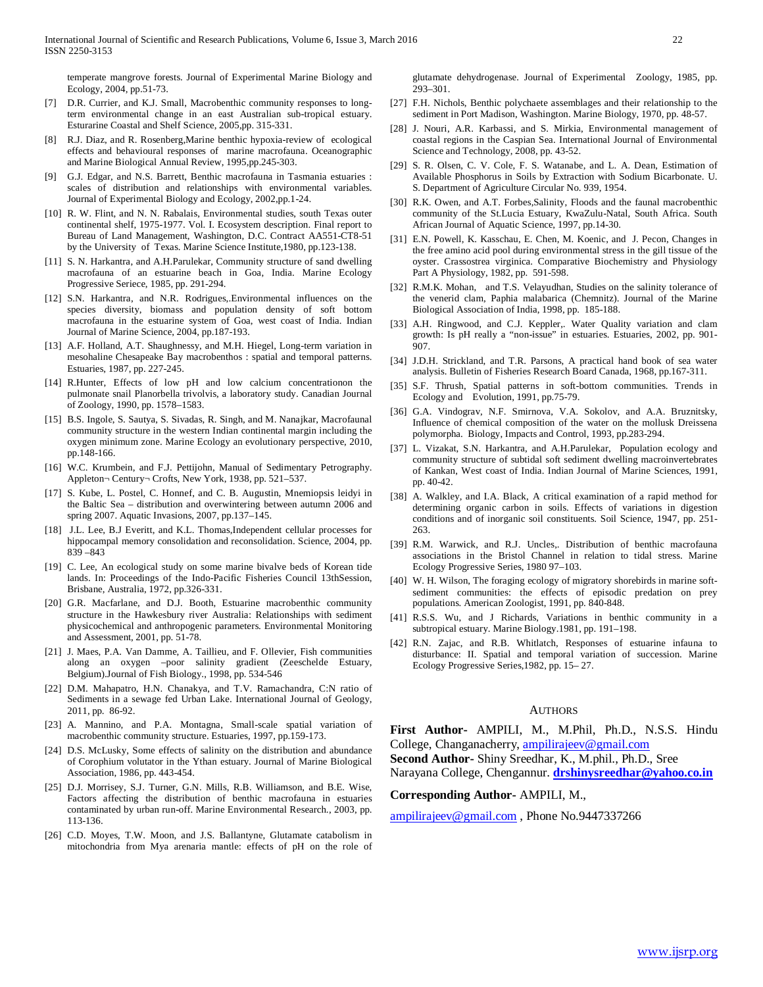temperate mangrove forests. Journal of Experimental Marine Biology and Ecology, 2004, pp.51-73.

- [7] D.R. Currier, and K.J. Small, Macrobenthic community responses to longterm environmental change in an east Australian sub-tropical estuary. Esturarine Coastal and Shelf Science, 2005,pp. 315-331.
- [8] R.J. Diaz, and R. Rosenberg,Marine benthic hypoxia-review of ecological effects and behavioural responses of marine macrofauna. Oceanographic and Marine Biological Annual Review, 1995,pp.245-303.
- [9] G.J. Edgar, and N.S. Barrett, Benthic macrofauna in Tasmania estuaries : scales of distribution and relationships with environmental variables. Journal of Experimental Biology and Ecology, 2002,pp.1-24.
- [10] R. W. Flint, and N. N. Rabalais, Environmental studies, south Texas outer continental shelf, 1975-1977. Vol. I. Ecosystem description. Final report to Bureau of Land Management, Washington, D.C. Contract AA551-CT8-51 by the University of Texas. Marine Science Institute,1980, pp.123-138.
- [11] S. N. Harkantra, and A.H.Parulekar, Community structure of sand dwelling macrofauna of an estuarine beach in Goa, India. Marine Ecology Progressive Seriece, 1985, pp. 291-294.
- [12] S.N. Harkantra, and N.R. Rodrigues,.Environmental influences on the species diversity, biomass and population density of soft bottom macrofauna in the estuarine system of Goa, west coast of India. Indian Journal of Marine Science, 2004, pp.187-193.
- [13] A.F. Holland, A.T. Shaughnessy, and M.H. Hiegel, Long-term variation in mesohaline Chesapeake Bay macrobenthos : spatial and temporal patterns. Estuaries, 1987, pp. 227-245.
- [14] R.Hunter, Effects of low pH and low calcium concentrationon the pulmonate snail Planorbella trivolvis, a laboratory study. Canadian Journal of Zoology, 1990, pp. 1578–1583.
- [15] B.S. Ingole, S. Sautya, S. Sivadas, R. Singh, and M. Nanajkar, Macrofaunal community structure in the western Indian continental margin including the oxygen minimum zone. Marine Ecology an evolutionary perspective, 2010, pp.148-166.
- [16] W.C. Krumbein, and F.J. Pettijohn, Manual of Sedimentary Petrography. Appleton¬ Century¬ Crofts, New York, 1938, pp. 521–537.
- [17] S. Kube, L. Postel, C. Honnef, and C. B. Augustin, Mnemiopsis leidyi in the Baltic Sea – distribution and overwintering between autumn 2006 and spring 2007. Aquatic Invasions, 2007, pp.137–145.
- [18] J.L. Lee, B.J Everitt, and K.L. Thomas, Independent cellular processes for hippocampal memory consolidation and reconsolidation. Science, 2004, pp. 839 –843
- [19] C. Lee, An ecological study on some marine bivalve beds of Korean tide lands. In: Proceedings of the Indo-Pacific Fisheries Council 13thSession, Brisbane, Australia, 1972, pp.326-331.
- [20] G.R. Macfarlane, and D.J. Booth, Estuarine macrobenthic community structure in the Hawkesbury river Australia: Relationships with sediment physicochemical and anthropogenic parameters. Environmental Monitoring and Assessment, 2001, pp. 51-78.
- [21] J. Maes, P.A. Van Damme, A. Taillieu, and F. Ollevier, Fish communities along an oxygen –poor salinity gradient (Zeeschelde Estuary, Belgium).Journal of Fish Biology., 1998, pp. 534-546
- [22] D.M. Mahapatro, H.N. Chanakya, and T.V. Ramachandra, C:N ratio of Sediments in a sewage fed Urban Lake. International Journal of Geology, 2011, pp. 86-92.
- [23] A. Mannino, and P.A. Montagna, Small-scale spatial variation of macrobenthic community structure. Estuaries, 1997, pp.159-173.
- [24] D.S. McLusky, Some effects of salinity on the distribution and abundance of Corophium volutator in the Ythan estuary. Journal of Marine Biological Association, 1986, pp. 443-454.
- [25] D.J. Morrisey, S.J. Turner, G.N. Mills, R.B. Williamson, and B.E. Wise, Factors affecting the distribution of benthic macrofauna in estuaries contaminated by urban run-off. Marine Environmental Research., 2003, pp. 113-136.
- [26] C.D. Moyes, T.W. Moon, and J.S. Ballantyne, Glutamate catabolism in mitochondria from Mya arenaria mantle: effects of pH on the role of

glutamate dehydrogenase. Journal of Experimental Zoology, 1985, pp. 293–301.

- [27] F.H. Nichols, Benthic polychaete assemblages and their relationship to the sediment in Port Madison, Washington. Marine Biology, 1970, pp. 48-57.
- [28] J. Nouri, A.R. Karbassi, and S. Mirkia, Environmental management of coastal regions in the Caspian Sea. International Journal of Environmental Science and Technology, 2008, pp. 43-52.
- [29] S. R. Olsen, C. V. Cole, F. S. Watanabe, and L. A. Dean, Estimation of Available Phosphorus in Soils by Extraction with Sodium Bicarbonate. U. S. Department of Agriculture Circular No. 939, 1954.
- [30] R.K. Owen, and A.T. Forbes,Salinity, Floods and the faunal macrobenthic community of the St.Lucia Estuary, KwaZulu-Natal, South Africa. South African Journal of Aquatic Science, 1997, pp.14-30.
- [31] E.N. Powell, K. Kasschau, E. Chen, M. Koenic, and J. Pecon, Changes in the free amino acid pool during environmental stress in the gill tissue of the oyster. Crassostrea virginica. Comparative Biochemistry and Physiology Part A Physiology, 1982, pp. 591-598.
- [32] R.M.K. Mohan, and T.S. Velayudhan, Studies on the salinity tolerance of the venerid clam, Paphia malabarica (Chemnitz). Journal of the Marine Biological Association of India, 1998, pp. 185-188.
- [33] A.H. Ringwood, and C.J. Keppler,. Water Quality variation and clam growth: Is pH really a "non-issue" in estuaries. Estuaries, 2002, pp. 901- 907.
- [34] J.D.H. Strickland, and T.R. Parsons, A practical hand book of sea water analysis. Bulletin of Fisheries Research Board Canada, 1968, pp.167-311.
- [35] S.F. Thrush, Spatial patterns in soft-bottom communities. Trends in Ecology and Evolution, 1991, pp.75-79.
- [36] G.A. Vindograv, N.F. Smirnova, V.A. Sokolov, and A.A. Bruznitsky, Influence of chemical composition of the water on the mollusk Dreissena polymorpha. Biology, Impacts and Control, 1993, pp.283-294.
- [37] L. Vizakat, S.N. Harkantra, and A.H.Parulekar, Population ecology and community structure of subtidal soft sediment dwelling macroinvertebrates of Kankan, West coast of India. Indian Journal of Marine Sciences, 1991, pp. 40-42.
- [38] A. Walkley, and I.A. Black, A critical examination of a rapid method for determining organic carbon in soils. Effects of variations in digestion conditions and of inorganic soil constituents. Soil Science, 1947, pp. 251- 263.
- [39] R.M. Warwick, and R.J. Uncles,. Distribution of benthic macrofauna associations in the Bristol Channel in relation to tidal stress. Marine Ecology Progressive Series, 1980 97–103.
- [40] W. H. Wilson, The foraging ecology of migratory shorebirds in marine softsediment communities: the effects of episodic predation on prey populations. American Zoologist, 1991, pp. 840-848.
- [41] R.S.S. Wu, and J Richards, Variations in benthic community in a subtropical estuary. Marine Biology.1981, pp. 191–198.
- [42] R.N. Zajac, and R.B. Whitlatch, Responses of estuarine infauna to disturbance: II. Spatial and temporal variation of succession. Marine Ecology Progressive Series,1982, pp. 15– 27.

#### **AUTHORS**

**First Author-** AMPILI, M., M.Phil, Ph.D., N.S.S. Hindu College, Changanacherry, [ampilirajeev@gmail.com](mailto:ampilirajeev@gmail.com) **Second Author-** Shiny Sreedhar, K., M.phil., Ph.D., Sree Narayana College, Chengannur. **[drshinysreedhar@yahoo.co.in](mailto:drshinysreedhar@yahoo.co.in)**

#### **Corresponding Author-** AMPILI, M.,

[ampilirajeev@gmail.com](mailto:ampilirajeev@gmail.com), Phone No.9447337266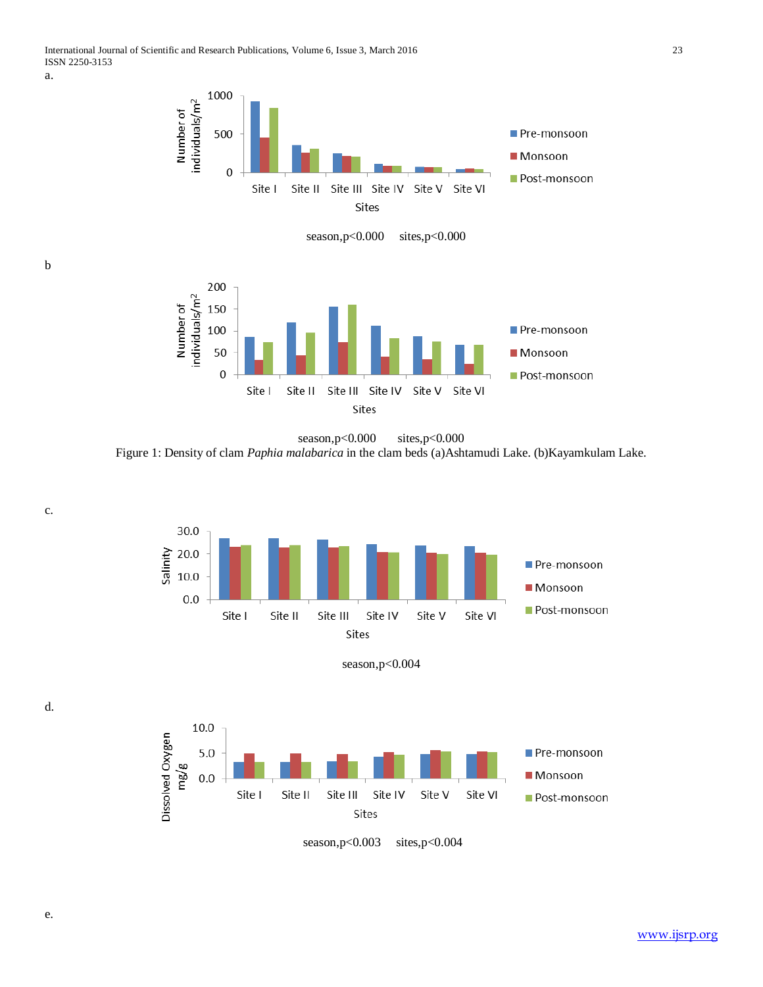b

c.

d.



 season,p<0.000 sites,p<0.000 Figure 1: Density of clam *Paphia malabarica* in the clam beds (a)Ashtamudi Lake. (b)Kayamkulam Lake.



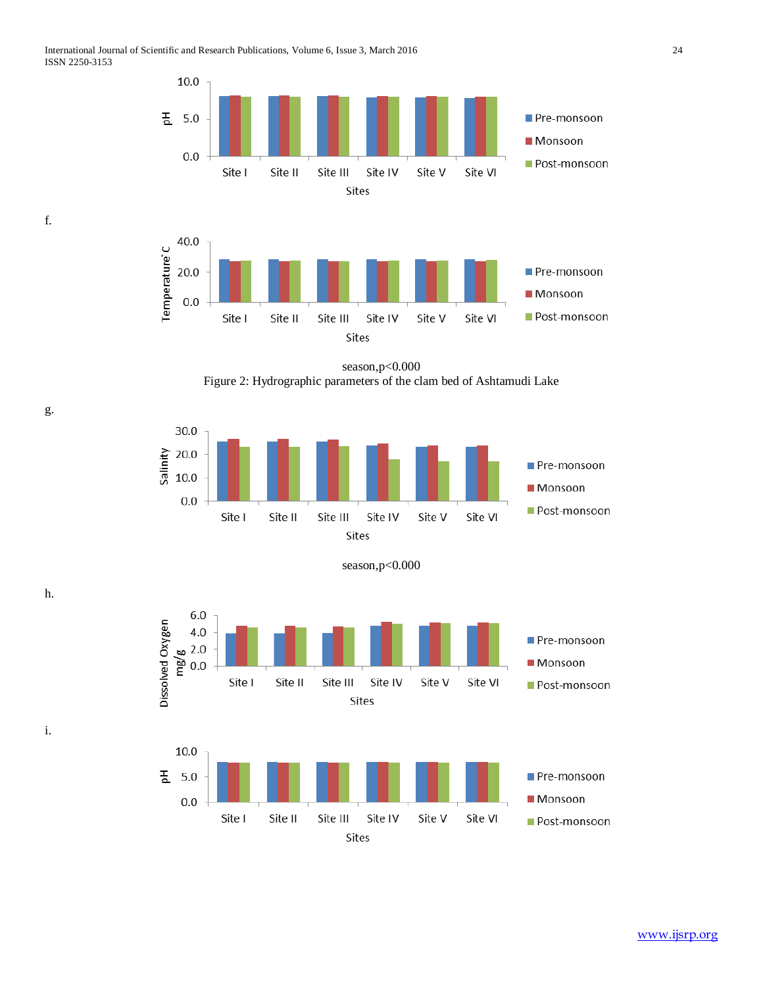

season,p<0.000 Figure 2: Hydrographic parameters of the clam bed of Ashtamudi Lake







Site IV

Site V

Site VI

Site III

Site I

Site II

f.

g.

h.

i.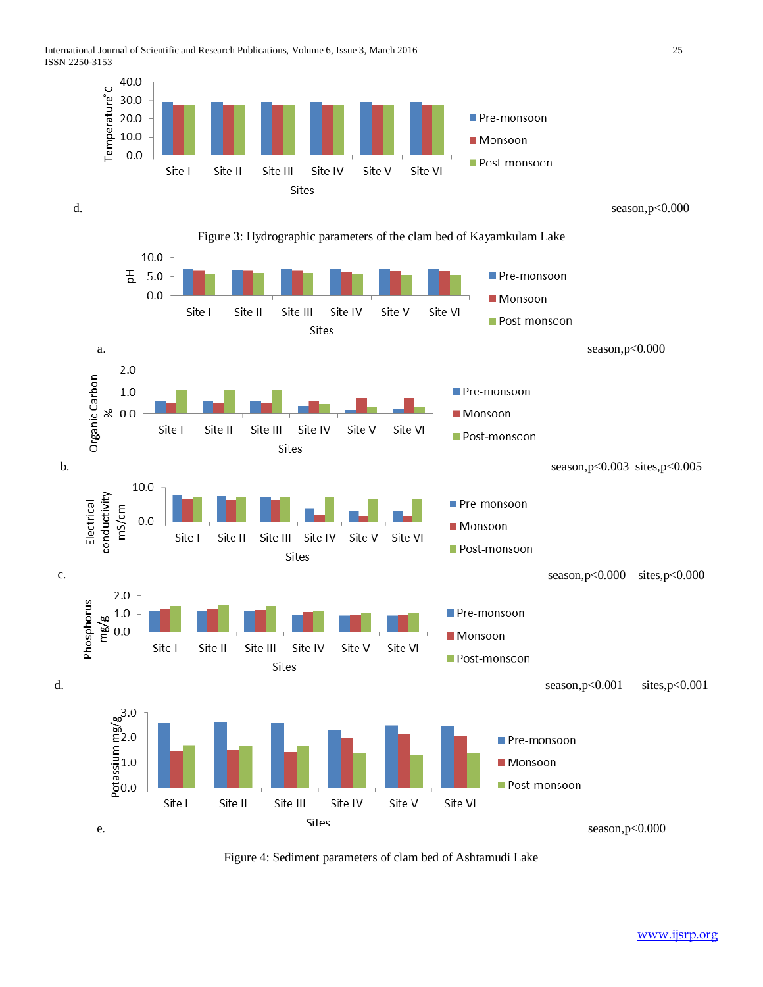International Journal of Scientific and Research Publications, Volume 6, Issue 3, March 2016 25 ISSN 2250-3153



Figure 4: Sediment parameters of clam bed of Ashtamudi Lake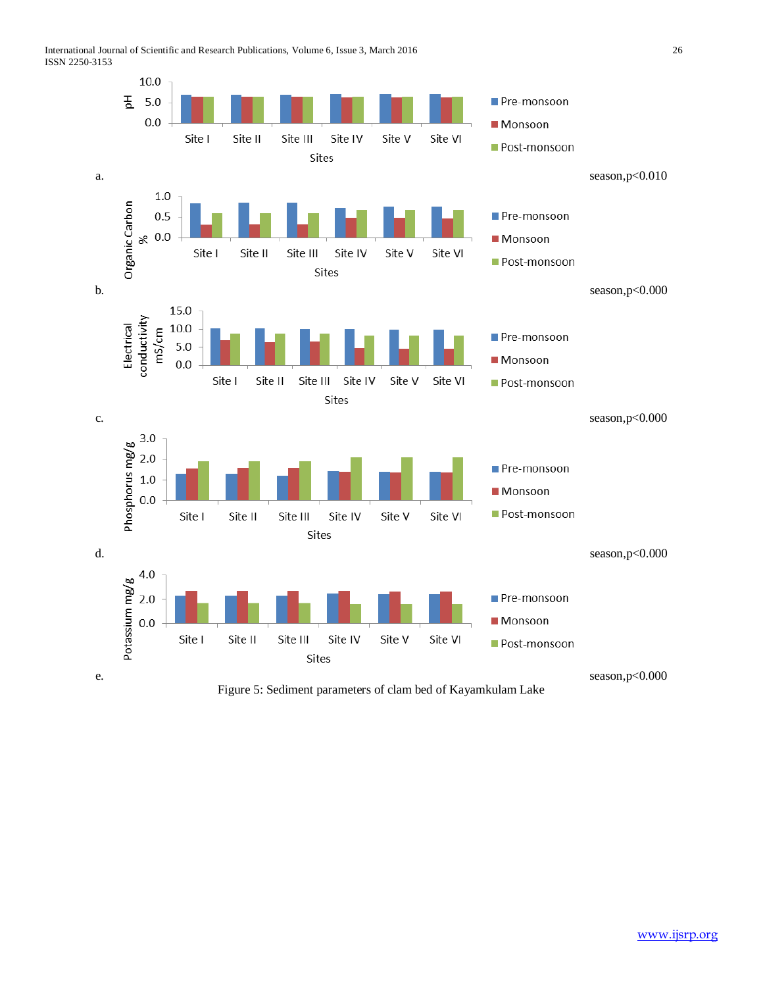

Figure 5: Sediment parameters of clam bed of Kayamkulam Lake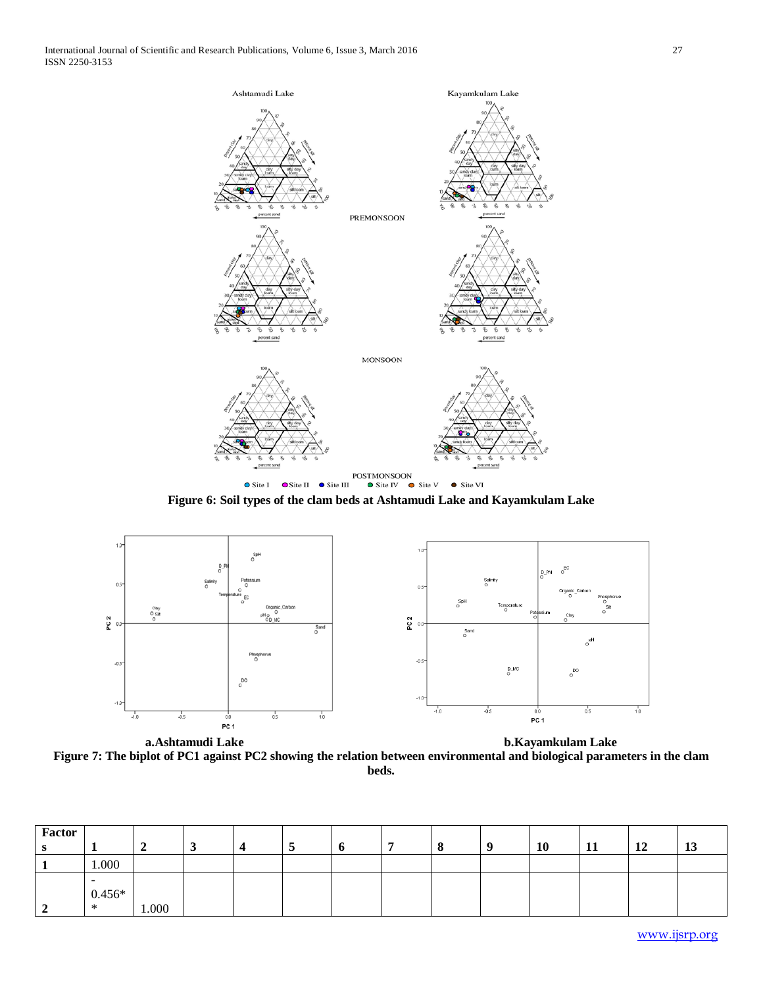

**Figure 6: Soil types of the clam beds at Ashtamudi Lake and Kayamkulam Lake**



**a.Ashtamudi Lake b.Kayamkulam Lake Figure 7: The biplot of PC1 against PC2 showing the relation between environmental and biological parameters in the clam beds.**

| Factor |                                                |       |  |   |  |   |           |    |                 |    |
|--------|------------------------------------------------|-------|--|---|--|---|-----------|----|-----------------|----|
|        |                                                |       |  | ັ |  | 0 | <b>10</b> | 11 | 12<br><b>14</b> | lν |
|        | 1.000                                          |       |  |   |  |   |           |    |                 |    |
|        | $\overline{\phantom{0}}$<br>$0.456*$<br>$\ast$ | 1.000 |  |   |  |   |           |    |                 |    |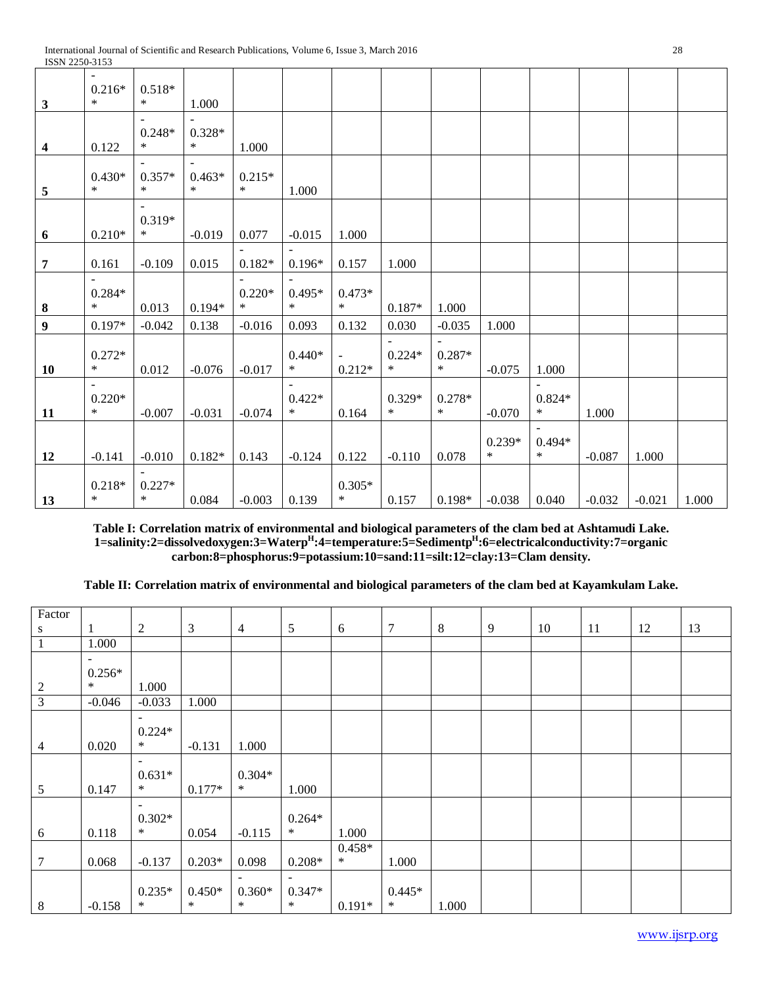|                  | $\blacksquare$     |                              |                    |          |          |           |                    |          |                    |          |          |          |       |
|------------------|--------------------|------------------------------|--------------------|----------|----------|-----------|--------------------|----------|--------------------|----------|----------|----------|-------|
|                  | $0.216*$           | $0.518*$                     |                    |          |          |           |                    |          |                    |          |          |          |       |
| $\mathbf{3}$     | $\ast$             | $\ast$                       | 1.000              |          |          |           |                    |          |                    |          |          |          |       |
|                  |                    | $\qquad \qquad \blacksquare$ |                    |          |          |           |                    |          |                    |          |          |          |       |
|                  |                    | $0.248*$<br>$\ast$           | $0.328*$<br>$\ast$ |          |          |           |                    |          |                    |          |          |          |       |
| $\boldsymbol{4}$ | 0.122              |                              |                    | 1.000    |          |           |                    |          |                    |          |          |          |       |
|                  | $0.430*$           | $0.357*$                     | $0.463*$           | $0.215*$ |          |           |                    |          |                    |          |          |          |       |
| $\sqrt{5}$       | $\ast$             | $\ast$                       | $\ast$             | $\ast$   | 1.000    |           |                    |          |                    |          |          |          |       |
|                  |                    |                              |                    |          |          |           |                    |          |                    |          |          |          |       |
|                  |                    | $0.319*$                     |                    |          |          |           |                    |          |                    |          |          |          |       |
| 6                | $0.210*$           | $\ast$                       | $-0.019$           | 0.077    | $-0.015$ | 1.000     |                    |          |                    |          |          |          |       |
|                  |                    |                              |                    |          |          |           |                    |          |                    |          |          |          |       |
| $\overline{7}$   | 0.161              | $-0.109$                     | 0.015              | $0.182*$ | $0.196*$ | 0.157     | 1.000              |          |                    |          |          |          |       |
|                  |                    |                              |                    |          |          |           |                    |          |                    |          |          |          |       |
|                  | $0.284*$           |                              |                    | $0.220*$ | $0.495*$ | $0.473*$  |                    |          |                    |          |          |          |       |
| $\bf{8}$         | $\ast$             | 0.013                        | $0.194*$           | $\ast$   | $\ast$   | $\approx$ | $0.187*$           | 1.000    |                    |          |          |          |       |
| $\boldsymbol{9}$ | $0.197*$           | $-0.042$                     | 0.138              | $-0.016$ | 0.093    | 0.132     | 0.030              | $-0.035$ | 1.000              |          |          |          |       |
|                  |                    |                              |                    |          |          |           |                    |          |                    |          |          |          |       |
|                  | $0.272*$           |                              |                    |          | $0.440*$ |           | $0.224*$           | $0.287*$ |                    |          |          |          |       |
| <b>10</b>        | $\ast$             | 0.012                        | $-0.076$           | $-0.017$ | $\ast$   | $0.212*$  | $\ast$             | $\ast$   | $-0.075$           | 1.000    |          |          |       |
|                  |                    |                              |                    |          |          |           |                    |          |                    |          |          |          |       |
|                  | $0.220*$<br>$\ast$ |                              |                    |          | $0.422*$ |           | $0.329*$<br>$\ast$ | $0.278*$ |                    | $0.824*$ |          |          |       |
| 11               |                    | $-0.007$                     | $-0.031$           | $-0.074$ | $\ast$   | 0.164     |                    | $\ast$   | $-0.070$           | $\ast$   | 1.000    |          |       |
|                  |                    |                              |                    |          |          |           |                    |          |                    | $0.494*$ |          |          |       |
| 12               | $-0.141$           | $-0.010$                     | $0.182*$           | 0.143    | $-0.124$ | 0.122     | $-0.110$           | 0.078    | $0.239*$<br>$\ast$ | $\ast$   | $-0.087$ | 1.000    |       |
|                  |                    |                              |                    |          |          |           |                    |          |                    |          |          |          |       |
|                  | $0.218*$           | $0.227*$                     |                    |          |          | $0.305*$  |                    |          |                    |          |          |          |       |
| <b>13</b>        | $\ast$             | $\ast$                       | 0.084              | $-0.003$ | 0.139    | $\ast$    | 0.157              | 0.198*   | $-0.038$           | 0.040    | $-0.032$ | $-0.021$ | 1.000 |

**Table I: Correlation matrix of environmental and biological parameters of the clam bed at Ashtamudi Lake. 1=salinity:2=dissolvedoxygen:3=WaterpH:4=temperature:5=SedimentpH:6=electricalconductivity:7=organic carbon:8=phosphorus:9=potassium:10=sand:11=silt:12=clay:13=Clam density.**

**Table II: Correlation matrix of environmental and biological parameters of the clam bed at Kayamkulam Lake.**

| Factor         |                          |                              |                |                          |                          |          |          |         |   |    |    |    |    |
|----------------|--------------------------|------------------------------|----------------|--------------------------|--------------------------|----------|----------|---------|---|----|----|----|----|
| S              | 1                        | $\overline{c}$               | $\mathfrak{Z}$ | $\overline{4}$           | 5                        | 6        | $\tau$   | $\,8\,$ | 9 | 10 | 11 | 12 | 13 |
| $\mathbf{1}$   | 1.000                    |                              |                |                          |                          |          |          |         |   |    |    |    |    |
|                | $\overline{\phantom{a}}$ |                              |                |                          |                          |          |          |         |   |    |    |    |    |
|                | $0.256*$                 |                              |                |                          |                          |          |          |         |   |    |    |    |    |
| $\overline{c}$ | $\ast$                   | 1.000                        |                |                          |                          |          |          |         |   |    |    |    |    |
| $\mathfrak{Z}$ | $-0.046$                 | $-0.033$                     | 1.000          |                          |                          |          |          |         |   |    |    |    |    |
|                |                          | $\qquad \qquad -$            |                |                          |                          |          |          |         |   |    |    |    |    |
|                |                          | $0.224*$                     |                |                          |                          |          |          |         |   |    |    |    |    |
| $\overline{4}$ | 0.020                    | $\ast$                       | $-0.131$       | 1.000                    |                          |          |          |         |   |    |    |    |    |
|                |                          | $\qquad \qquad -$            |                |                          |                          |          |          |         |   |    |    |    |    |
|                |                          | $0.631*$                     |                | $0.304*$                 |                          |          |          |         |   |    |    |    |    |
| $\mathfrak{S}$ | 0.147                    | $\ast$                       | $0.177*$       | $\ast$                   | 1.000                    |          |          |         |   |    |    |    |    |
|                |                          | $\qquad \qquad \blacksquare$ |                |                          |                          |          |          |         |   |    |    |    |    |
|                |                          | $0.302*$                     |                |                          | $0.264*$                 |          |          |         |   |    |    |    |    |
| 6              | 0.118                    | $\ast$                       | 0.054          | $-0.115$                 | $\ast$                   | 1.000    |          |         |   |    |    |    |    |
|                |                          |                              |                |                          |                          | $0.458*$ |          |         |   |    |    |    |    |
| $\tau$         | 0.068                    | $-0.137$                     | $0.203*$       | 0.098                    | $0.208*$                 | $\ast$   | 1.000    |         |   |    |    |    |    |
|                |                          |                              |                | $\overline{\phantom{0}}$ | $\overline{\phantom{a}}$ |          |          |         |   |    |    |    |    |
|                |                          | $0.235*$                     | $0.450*$       | $0.360*$                 | $0.347*$                 |          | $0.445*$ |         |   |    |    |    |    |
| 8              | $-0.158$                 | $\ast$                       | $\ast$         | $\ast$                   | $\ast$                   | $0.191*$ | $\ast$   | 1.000   |   |    |    |    |    |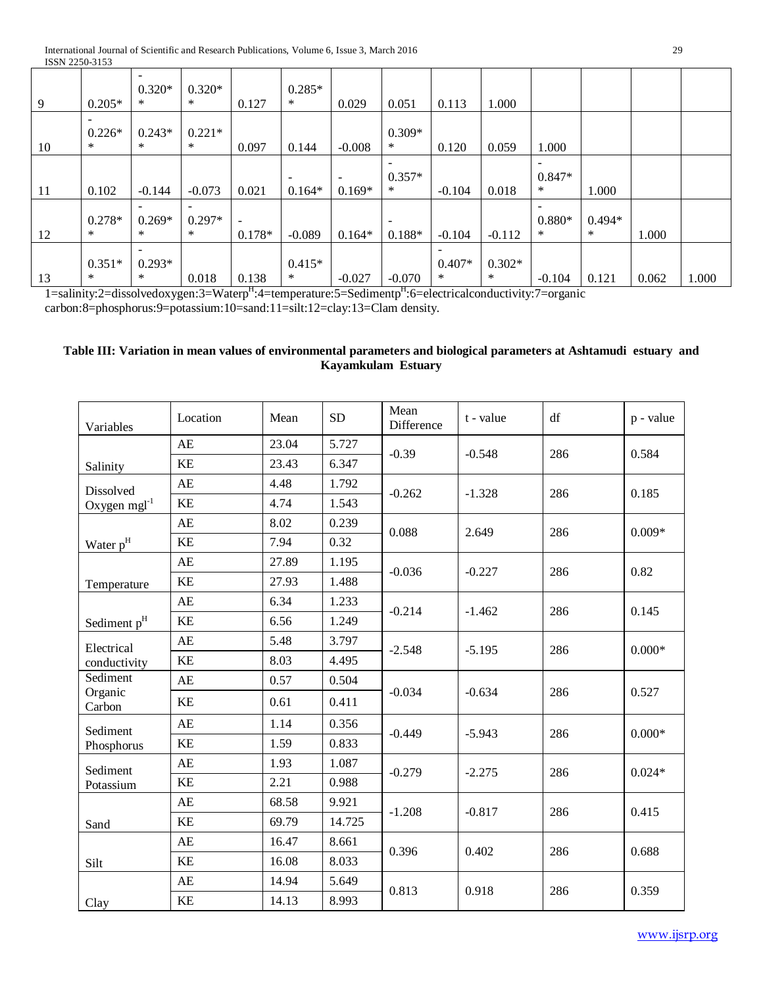| 9  | $0.205*$           | $\overline{\phantom{a}}$<br>$0.320*$<br>$\ast$ | $0.320*$<br>$\ast$ | 0.127         | $0.285*$<br>$\ast$ | 0.029                                | 0.051                   | 0.113              | 1.000         |                         |                    |       |       |
|----|--------------------|------------------------------------------------|--------------------|---------------|--------------------|--------------------------------------|-------------------------|--------------------|---------------|-------------------------|--------------------|-------|-------|
| 10 | $0.226*$<br>$\ast$ | $0.243*$<br>$\ast$                             | $0.221*$<br>$\ast$ | 0.097         | 0.144              | $-0.008$                             | $0.309*$<br>$\ast$      | 0.120              | 0.059         | 1.000                   |                    |       |       |
| 11 | 0.102              | $-0.144$                                       | $-0.073$           | 0.021         | $0.164*$           | $\overline{\phantom{a}}$<br>$0.169*$ | -<br>$0.357*$<br>$\ast$ | $-0.104$           | 0.018         | -<br>$0.847*$<br>$\ast$ | 1.000              |       |       |
| 12 | $0.278*$<br>$\ast$ | $0.269*$<br>$\ast$                             | $0.297*$<br>$\ast$ | ۰<br>$0.178*$ | $-0.089$           | $0.164*$                             | $0.188*$                | $-0.104$           | $-0.112$      | -<br>$0.880*$<br>∗      | $0.494*$<br>$\ast$ | 1.000 |       |
| 13 | $0.351*$<br>$\ast$ | $\overline{\phantom{0}}$<br>$0.293*$<br>∗      | 0.018              | 0.138         | $0.415*$<br>$\ast$ | $-0.027$                             | $-0.070$                | $0.407*$<br>$\ast$ | $0.302*$<br>* | $-0.104$                | 0.121              | 0.062 | 1.000 |

1=salinity:2=dissolvedoxygen:3=Waterp<sup>H</sup>:4=temperature:5=Sedimentp<sup>H</sup>:6=electricalconductivity:7=organic carbon:8=phosphorus:9=potassium:10=sand:11=silt:12=clay:13=Clam density.

## **Table III: Variation in mean values of environmental parameters and biological parameters at Ashtamudi estuary and Kayamkulam Estuary**

| Variables               | Location  | Mean          | <b>SD</b> | Mean<br>Difference | t - value | df  | p - value |  |
|-------------------------|-----------|---------------|-----------|--------------------|-----------|-----|-----------|--|
|                         | AE        | 23.04         | 5.727     | $-0.39$            | $-0.548$  | 286 | 0.584     |  |
| Salinity                | KE        | 23.43         | 6.347     |                    |           |     |           |  |
| Dissolved               | AE        | 4.48          | 1.792     | $-0.262$           | $-1.328$  | 286 | 0.185     |  |
| $Oxygenmgl-1$           | <b>KE</b> | 4.74          | 1.543     |                    |           |     |           |  |
|                         | AE        | 8.02          | 0.239     | 0.088              | 2.649     | 286 | $0.009*$  |  |
| Water p <sup>H</sup>    | KE        | 7.94          | 0.32      |                    |           |     |           |  |
|                         | AE        | 27.89         | 1.195     | $-0.036$           | $-0.227$  | 286 | 0.82      |  |
| Temperature             | KE        | 27.93         | 1.488     |                    |           |     |           |  |
|                         | AE        | 6.34          | 1.233     | $-0.214$           | $-1.462$  | 286 | 0.145     |  |
| Sediment p <sup>H</sup> | <b>KE</b> | 6.56          | 1.249     |                    |           |     |           |  |
| Electrical              | AE        | 5.48<br>3.797 |           | $-2.548$           | $-5.195$  | 286 | $0.000*$  |  |
| conductivity            | <b>KE</b> | 8.03          | 4.495     |                    |           |     |           |  |
| Sediment                | $AE$      | 0.57<br>0.504 |           |                    |           |     |           |  |
| Organic<br>Carbon       | <b>KE</b> | 0.61          | 0.411     | $-0.034$           | $-0.634$  | 286 | 0.527     |  |
| Sediment                | AE        | 1.14          | 0.356     | $-0.449$           | $-5.943$  | 286 | $0.000*$  |  |
| Phosphorus              | KE        | 1.59          | 0.833     |                    |           |     |           |  |
| Sediment                | AE        | 1.93          | 1.087     | $-0.279$           | $-2.275$  | 286 | $0.024*$  |  |
| Potassium               | KE        | 2.21          | 0.988     |                    |           |     |           |  |
|                         | AE        | 68.58         | 9.921     | $-1.208$           | $-0.817$  | 286 | 0.415     |  |
| Sand                    | KE        | 69.79         | 14.725    |                    |           |     |           |  |
|                         | AE        | 16.47         | 8.661     | 0.396              | 0.402     | 286 |           |  |
| Silt                    | KE        | 16.08         | 8.033     |                    |           |     | 0.688     |  |
|                         | AE        | 14.94         | 5.649     | 0.813              | 0.918     | 286 | 0.359     |  |
| Clay                    | <b>KE</b> | 14.13         | 8.993     |                    |           |     |           |  |